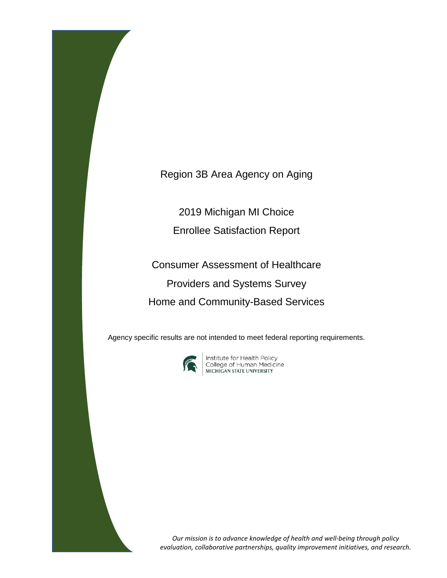Region 3B Area Agency on Aging

2019 Michigan MI Choice Enrollee Satisfaction Report

Consumer Assessment of Healthcare Providers and Systems Survey Home and Community-Based Services

Agency specific results are not intended to meet federal reporting requirements.



**Institute for Health Policy<br>College of Human Medicine<br>MICHIGAN STATE UNIVERSITY** 

*Our mission is to advance knowledge of health and well-being through policy evaluation, collaborative partnerships, quality improvement initiatives, and research.*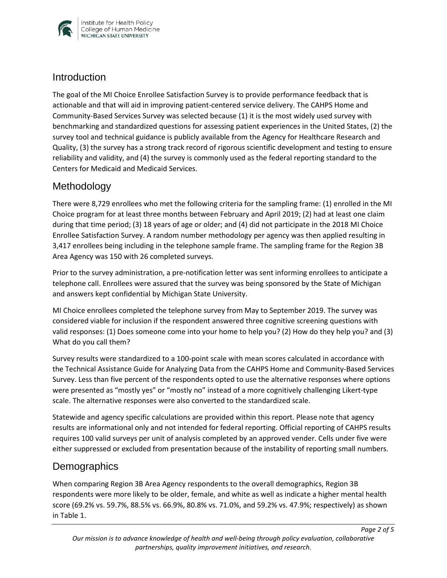

#### **Introduction**

The goal of the MI Choice Enrollee Satisfaction Survey is to provide performance feedback that is actionable and that will aid in improving patient-centered service delivery. The CAHPS Home and Community-Based Services Survey was selected because (1) it is the most widely used survey with benchmarking and standardized questions for assessing patient experiences in the United States, (2) the survey tool and technical guidance is publicly available from the Agency for Healthcare Research and Quality, (3) the survey has a strong track record of rigorous scientific development and testing to ensure reliability and validity, and (4) the survey is commonly used as the federal reporting standard to the Centers for Medicaid and Medicaid Services.

## Methodology

There were 8,729 enrollees who met the following criteria for the sampling frame: (1) enrolled in the MI Choice program for at least three months between February and April 2019; (2) had at least one claim during that time period; (3) 18 years of age or older; and (4) did not participate in the 2018 MI Choice Enrollee Satisfaction Survey. A random number methodology per agency was then applied resulting in 3,417 enrollees being including in the telephone sample frame. The sampling frame for the Region 3B Area Agency was 150 with 26 completed surveys.

Prior to the survey administration, a pre-notification letter was sent informing enrollees to anticipate a telephone call. Enrollees were assured that the survey was being sponsored by the State of Michigan and answers kept confidential by Michigan State University.

MI Choice enrollees completed the telephone survey from May to September 2019. The survey was considered viable for inclusion if the respondent answered three cognitive screening questions with valid responses: (1) Does someone come into your home to help you? (2) How do they help you? and (3) What do you call them?

Survey results were standardized to a 100-point scale with mean scores calculated in accordance with the Technical Assistance Guide for Analyzing Data from the CAHPS Home and Community-Based Services Survey. Less than five percent of the respondents opted to use the alternative responses where options were presented as "mostly yes" or "mostly no" instead of a more cognitively challenging Likert-type scale. The alternative responses were also converted to the standardized scale.

Statewide and agency specific calculations are provided within this report. Please note that agency results are informational only and not intended for federal reporting. Official reporting of CAHPS results requires 100 valid surveys per unit of analysis completed by an approved vender. Cells under five were either suppressed or excluded from presentation because of the instability of reporting small numbers.

## **Demographics**

When comparing Region 3B Area Agency respondents to the overall demographics, Region 3B respondents were more likely to be older, female, and white as well as indicate a higher mental health score (69.2% vs. 59.7%, 88.5% vs. 66.9%, 80.8% vs. 71.0%, and 59.2% vs. 47.9%; respectively) as shown in Table 1.

*Page 2 of 5*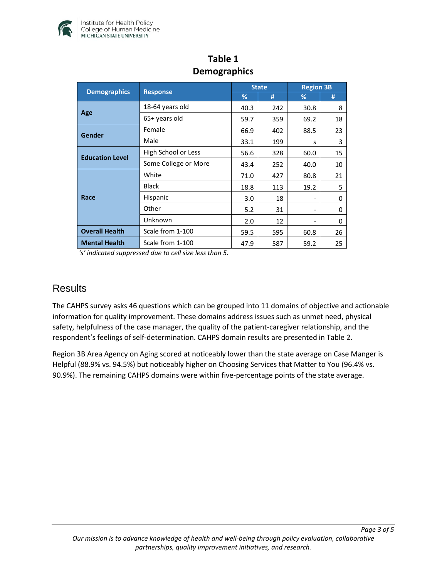

| <b>Demographics</b>    | <b>Response</b>      | <b>State</b> |     | <b>Region 3B</b>         |    |
|------------------------|----------------------|--------------|-----|--------------------------|----|
|                        |                      | %            | #   | %                        | #  |
| Age                    | 18-64 years old      | 40.3         | 242 | 30.8                     | 8  |
|                        | 65+ years old        | 59.7         | 359 | 69.2                     | 18 |
| Gender                 | Female               | 66.9         | 402 | 88.5                     | 23 |
|                        | Male                 | 33.1         | 199 | s                        | 3  |
| <b>Education Level</b> | High School or Less  | 56.6         | 328 | 60.0                     | 15 |
|                        | Some College or More | 43.4         | 252 | 40.0                     | 10 |
| Race                   | White                | 71.0         | 427 | 80.8                     | 21 |
|                        | <b>Black</b>         | 18.8         | 113 | 19.2                     | 5  |
|                        | Hispanic             | 3.0          | 18  | $\overline{\phantom{a}}$ | 0  |
|                        | Other                | 5.2          | 31  |                          | 0  |
|                        | Unknown              | 2.0          | 12  | $\overline{\phantom{a}}$ | 0  |
| <b>Overall Health</b>  | Scale from 1-100     | 59.5         | 595 | 60.8                     | 26 |
| <b>Mental Health</b>   | Scale from 1-100     | 47.9         | 587 | 59.2                     | 25 |

## **Table 1 Demographics**

*'s' indicated suppressed due to cell size less than 5.* 

#### **Results**

The CAHPS survey asks 46 questions which can be grouped into 11 domains of objective and actionable information for quality improvement. These domains address issues such as unmet need, physical safety, helpfulness of the case manager, the quality of the patient-caregiver relationship, and the respondent's feelings of self-determination. CAHPS domain results are presented in Table 2.

Region 3B Area Agency on Aging scored at noticeably lower than the state average on Case Manger is Helpful (88.9% vs. 94.5%) but noticeably higher on Choosing Services that Matter to You (96.4% vs. 90.9%). The remaining CAHPS domains were within five-percentage points of the state average.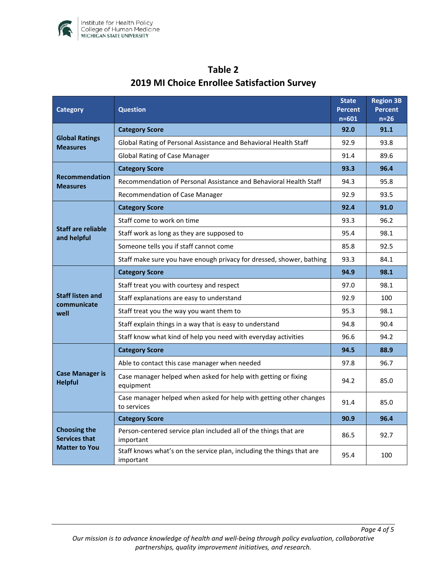

| <b>Category</b>                                                     | <b>Question</b>                                                                    |      | <b>Region 3B</b><br><b>Percent</b><br>$n=26$ |
|---------------------------------------------------------------------|------------------------------------------------------------------------------------|------|----------------------------------------------|
| <b>Global Ratings</b><br><b>Measures</b>                            | <b>Category Score</b>                                                              |      | 91.1                                         |
|                                                                     | Global Rating of Personal Assistance and Behavioral Health Staff                   |      | 93.8                                         |
|                                                                     | <b>Global Rating of Case Manager</b>                                               |      | 89.6                                         |
| <b>Recommendation</b><br><b>Measures</b>                            | <b>Category Score</b>                                                              |      | 96.4                                         |
|                                                                     | Recommendation of Personal Assistance and Behavioral Health Staff                  |      | 95.8                                         |
|                                                                     | Recommendation of Case Manager                                                     |      | 93.5                                         |
| <b>Staff are reliable</b><br>and helpful                            | <b>Category Score</b>                                                              |      | 91.0                                         |
|                                                                     | Staff come to work on time                                                         |      | 96.2                                         |
|                                                                     | Staff work as long as they are supposed to                                         |      | 98.1                                         |
|                                                                     | Someone tells you if staff cannot come                                             |      | 92.5                                         |
|                                                                     | Staff make sure you have enough privacy for dressed, shower, bathing               |      | 84.1                                         |
| <b>Staff listen and</b><br>communicate<br>well                      | <b>Category Score</b>                                                              | 94.9 | 98.1                                         |
|                                                                     | Staff treat you with courtesy and respect                                          |      | 98.1                                         |
|                                                                     | Staff explanations are easy to understand                                          |      | 100                                          |
|                                                                     | Staff treat you the way you want them to                                           |      | 98.1                                         |
|                                                                     | Staff explain things in a way that is easy to understand                           |      | 90.4                                         |
|                                                                     | Staff know what kind of help you need with everyday activities                     |      | 94.2                                         |
| <b>Case Manager is</b><br><b>Helpful</b>                            | <b>Category Score</b>                                                              | 94.5 | 88.9                                         |
|                                                                     | Able to contact this case manager when needed                                      |      | 96.7                                         |
|                                                                     | Case manager helped when asked for help with getting or fixing<br>equipment        |      | 85.0                                         |
|                                                                     | Case manager helped when asked for help with getting other changes<br>to services  | 91.4 | 85.0                                         |
| <b>Choosing the</b><br><b>Services that</b><br><b>Matter to You</b> | <b>Category Score</b>                                                              | 90.9 | 96.4                                         |
|                                                                     | Person-centered service plan included all of the things that are<br>important      |      | 92.7                                         |
|                                                                     | Staff knows what's on the service plan, including the things that are<br>important | 95.4 | 100                                          |

# **Table 2 2019 MI Choice Enrollee Satisfaction Survey**